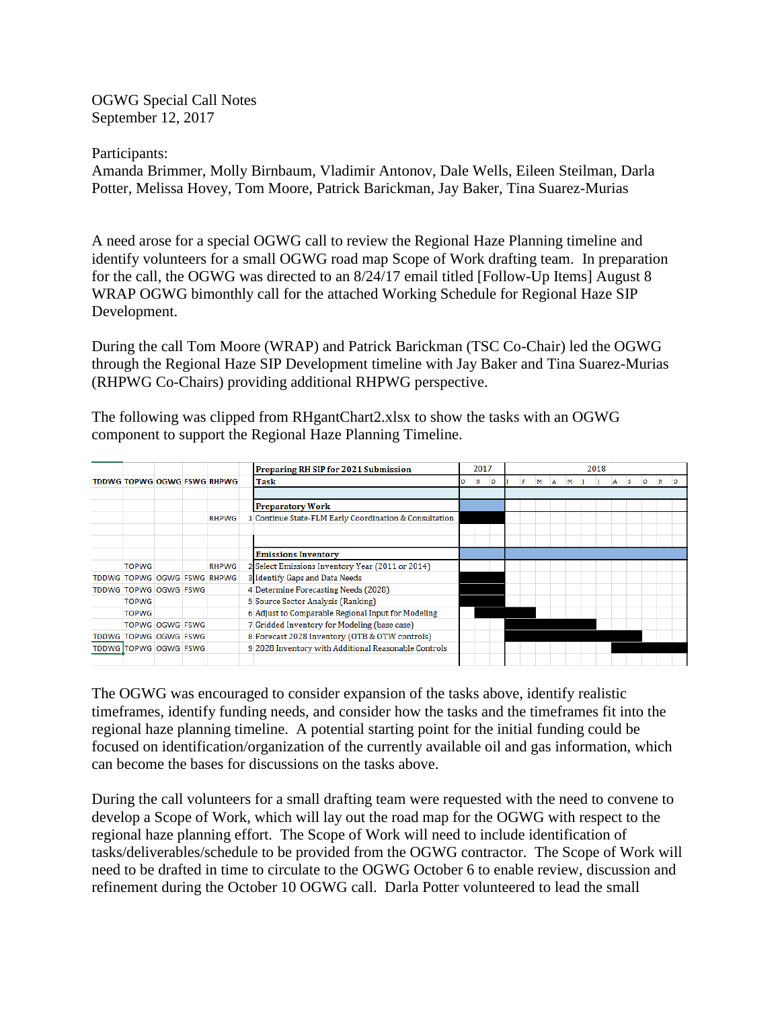OGWG Special Call Notes September 12, 2017

Participants: Amanda Brimmer, Molly Birnbaum, Vladimir Antonov, Dale Wells, Eileen Steilman, Darla Potter, Melissa Hovey, Tom Moore, Patrick Barickman, Jay Baker, Tina Suarez-Murias

A need arose for a special OGWG call to review the Regional Haze Planning timeline and identify volunteers for a small OGWG road map Scope of Work drafting team. In preparation for the call, the OGWG was directed to an 8/24/17 email titled [Follow-Up Items] August 8 WRAP OGWG bimonthly call for the attached Working Schedule for Regional Haze SIP Development.

During the call Tom Moore (WRAP) and Patrick Barickman (TSC Co-Chair) led the OGWG through the Regional Haze SIP Development timeline with Jay Baker and Tina Suarez-Murias (RHPWG Co-Chairs) providing additional RHPWG perspective.

The following was clipped from RHgantChart2.xlsx to show the tasks with an OGWG component to support the Regional Haze Planning Timeline.

|                             |  |                                    | Preparing RH SIP for 2021 Submission                   |   | 2017 |   |  | 2018 |   |   |   |  |  |  |  |  |  |   |  |  |
|-----------------------------|--|------------------------------------|--------------------------------------------------------|---|------|---|--|------|---|---|---|--|--|--|--|--|--|---|--|--|
|                             |  | <b>TDDWG TOPWG OGWG FSWG RHPWG</b> | Task                                                   | о | N    | D |  | F    | м | A | м |  |  |  |  |  |  | Ð |  |  |
|                             |  |                                    |                                                        |   |      |   |  |      |   |   |   |  |  |  |  |  |  |   |  |  |
|                             |  |                                    | <b>Preparatory Work</b>                                |   |      |   |  |      |   |   |   |  |  |  |  |  |  |   |  |  |
|                             |  | <b>RHPWG</b>                       | 1 Continue State-FLM Early Coordination & Consultation |   |      |   |  |      |   |   |   |  |  |  |  |  |  |   |  |  |
|                             |  |                                    |                                                        |   |      |   |  |      |   |   |   |  |  |  |  |  |  |   |  |  |
|                             |  |                                    |                                                        |   |      |   |  |      |   |   |   |  |  |  |  |  |  |   |  |  |
|                             |  |                                    | <b>Emissions Inventory</b>                             |   |      |   |  |      |   |   |   |  |  |  |  |  |  |   |  |  |
| <b>TOPWG</b>                |  | <b>RHPWG</b>                       | 2 Select Emissions Inventory Year (2011 or 2014)       |   |      |   |  |      |   |   |   |  |  |  |  |  |  |   |  |  |
| TDDWG TOPWG OGWG FSWG RHPWG |  |                                    | 3 Identify Gaps and Data Needs                         |   |      |   |  |      |   |   |   |  |  |  |  |  |  |   |  |  |
| TDDWG TOPWG OGWG FSWG       |  |                                    | 4 Determine Forecasting Needs (2028)                   |   |      |   |  |      |   |   |   |  |  |  |  |  |  |   |  |  |
| <b>TOPWG</b>                |  |                                    | 5 Source Sector Analysis (Ranking)                     |   |      |   |  |      |   |   |   |  |  |  |  |  |  |   |  |  |
| <b>TOPWG</b>                |  |                                    | 6 Adjust to Comparable Regional Input for Modeling     |   |      |   |  |      |   |   |   |  |  |  |  |  |  |   |  |  |
| <b>TOPWG OGWG FSWG</b>      |  |                                    | 7 Gridded Inventory for Modeling (base case)           |   |      |   |  |      |   |   |   |  |  |  |  |  |  |   |  |  |
| TDDWG TOPWG OGWG FSWG       |  |                                    | 8 Forecast 2028 Inventory (OTB & OTW controls)         |   |      |   |  |      |   |   |   |  |  |  |  |  |  |   |  |  |
| TDDWG TOPWG OGWG FSWG       |  |                                    | 9 2028 Inventory with Additional Reasonable Controls   |   |      |   |  |      |   |   |   |  |  |  |  |  |  |   |  |  |
|                             |  |                                    |                                                        |   |      |   |  |      |   |   |   |  |  |  |  |  |  |   |  |  |

The OGWG was encouraged to consider expansion of the tasks above, identify realistic timeframes, identify funding needs, and consider how the tasks and the timeframes fit into the regional haze planning timeline. A potential starting point for the initial funding could be focused on identification/organization of the currently available oil and gas information, which can become the bases for discussions on the tasks above.

During the call volunteers for a small drafting team were requested with the need to convene to develop a Scope of Work, which will lay out the road map for the OGWG with respect to the regional haze planning effort. The Scope of Work will need to include identification of tasks/deliverables/schedule to be provided from the OGWG contractor. The Scope of Work will need to be drafted in time to circulate to the OGWG October 6 to enable review, discussion and refinement during the October 10 OGWG call. Darla Potter volunteered to lead the small